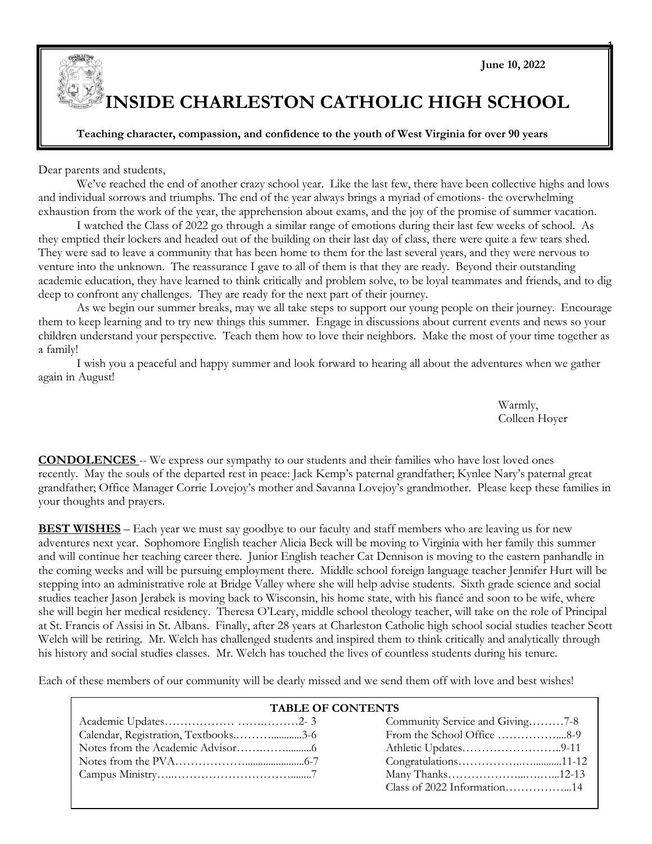

1

## **INSIDE CHARLESTON CATHOLIC HIGH SCHOOL**

#### **Teaching character, compassion, and confidence to the youth of West Virginia for over 90 years**

Dear parents and students,

We've reached the end of another crazy school year. Like the last few, there have been collective highs and lows and individual sorrows and triumphs. The end of the year always brings a myriad of emotions- the overwhelming exhaustion from the work of the year, the apprehension about exams, and the joy of the promise of summer vacation.

I watched the Class of 2022 go through a similar range of emotions during their last few weeks of school. As they emptied their lockers and headed out of the building on their last day of class, there were quite a few tears shed. They were sad to leave a community that has been home to them for the last several years, and they were nervous to venture into the unknown. The reassurance I gave to all of them is that they are ready. Beyond their outstanding academic education, they have learned to think critically and problem solve, to be loyal teammates and friends, and to dig deep to confront any challenges. They are ready for the next part of their journey.

As we begin our summer breaks, may we all take steps to support our young people on their journey. Encourage them to keep learning and to try new things this summer. Engage in discussions about current events and news so your children understand your perspective. Teach them how to love their neighbors. Make the most of your time together as a family!

I wish you a peaceful and happy summer and look forward to hearing all about the adventures when we gather again in August!

> Warmly, Colleen Hoyer

**CONDOLENCES** -- We express our sympathy to our students and their families who have lost loved ones recently. May the souls of the departed rest in peace: Jack Kemp's paternal grandfather; Kynlee Nary's paternal great grandfather; Office Manager Corrie Lovejoy's mother and Savanna Lovejoy's grandmother. Please keep these families in your thoughts and prayers.

**BEST WISHES** – Each year we must say goodbye to our faculty and staff members who are leaving us for new adventures next year. Sophomore English teacher Alicia Beck will be moving to Virginia with her family this summer and will continue her teaching career there. Junior English teacher Cat Dennison is moving to the eastern panhandle in the coming weeks and will be pursuing employment there. Middle school foreign language teacher Jennifer Hurt will be stepping into an administrative role at Bridge Valley where she will help advise students. Sixth grade science and social studies teacher Jason Jerabek is moving back to Wisconsin, his home state, with his fiancé and soon to be wife, where she will begin her medical residency. Theresa O'Leary, middle school theology teacher, will take on the role of Principal at St. Francis of Assisi in St. Albans. Finally, after 28 years at Charleston Catholic high school social studies teacher Scott Welch will be retiring. Mr. Welch has challenged students and inspired them to think critically and analytically through his history and social studies classes. Mr. Welch has touched the lives of countless students during his tenure.

Each of these members of our community will be dearly missed and we send them off with love and best wishes!

#### **TABLE OF CONTENTS**

|                                      | Community Service and Giving7-8 |  |
|--------------------------------------|---------------------------------|--|
| Calendar, Registration, Textbooks3-6 | From the School Office 8-9      |  |
|                                      |                                 |  |
|                                      |                                 |  |
|                                      |                                 |  |
|                                      |                                 |  |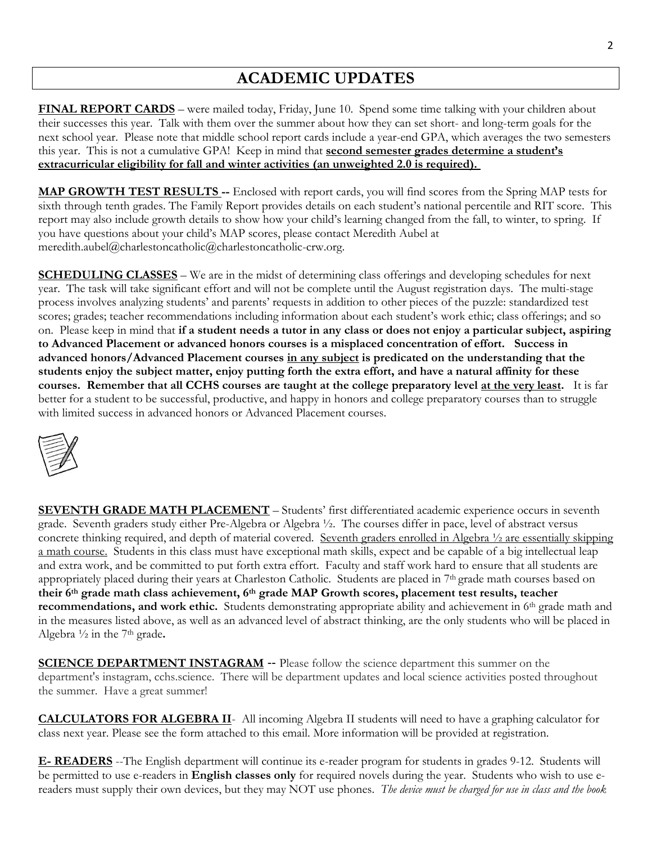## **ACADEMIC UPDATES**

**FINAL REPORT CARDS** – were mailed today, Friday, June 10. Spend some time talking with your children about their successes this year. Talk with them over the summer about how they can set short- and long-term goals for the next school year. Please note that middle school report cards include a year-end GPA, which averages the two semesters this year. This is not a cumulative GPA! Keep in mind that **second semester grades determine a student's extracurricular eligibility for fall and winter activities (an unweighted 2.0 is required).**

**MAP GROWTH TEST RESULTS --** Enclosed with report cards, you will find scores from the Spring MAP tests for sixth through tenth grades. The Family Report provides details on each student's national percentile and RIT score. This report may also include growth details to show how your child's learning changed from the fall, to winter, to spring. If you have questions about your child's MAP scores, please contact Meredith Aubel at [meredith.aubel@charlestoncatholic@charlestoncatholic-crw.org.](mailto:meredith.aubel@charlestoncatholic@charlestoncatholic-crw.org)

**SCHEDULING CLASSES** – We are in the midst of determining class offerings and developing schedules for next year. The task will take significant effort and will not be complete until the August registration days. The multi-stage process involves analyzing students' and parents' requests in addition to other pieces of the puzzle: standardized test scores; grades; teacher recommendations including information about each student's work ethic; class offerings; and so on. Please keep in mind that **if a student needs a tutor in any class or does not enjoy a particular subject, aspiring to Advanced Placement or advanced honors courses is a misplaced concentration of effort. Success in advanced honors/Advanced Placement courses in any subject is predicated on the understanding that the students enjoy the subject matter, enjoy putting forth the extra effort, and have a natural affinity for these courses. Remember that all CCHS courses are taught at the college preparatory level at the very least.** It is far better for a student to be successful, productive, and happy in honors and college preparatory courses than to struggle with limited success in advanced honors or Advanced Placement courses.



**SEVENTH GRADE MATH PLACEMENT** – Students' first differentiated academic experience occurs in seventh grade. Seventh graders study either Pre-Algebra or Algebra ½. The courses differ in pace, level of abstract versus concrete thinking required, and depth of material covered. Seventh graders enrolled in Algebra ½ are essentially skipping a math course. Students in this class must have exceptional math skills, expect and be capable of a big intellectual leap and extra work, and be committed to put forth extra effort. Faculty and staff work hard to ensure that all students are appropriately placed during their years at Charleston Catholic. Students are placed in 7<sup>th</sup> grade math courses based on **their 6th grade math class achievement, 6th grade MAP Growth scores, placement test results, teacher recommendations, and work ethic.** Students demonstrating appropriate ability and achievement in 6<sup>th</sup> grade math and in the measures listed above, as well as an advanced level of abstract thinking, are the only students who will be placed in Algebra ½ in the 7th grade**.**

**SCIENCE DEPARTMENT INSTAGRAM** -- Please follow the science department this summer on the department's instagram, cchs.science. There will be department updates and local science activities posted throughout the summer. Have a great summer!

**CALCULATORS FOR ALGEBRA II**- All incoming Algebra II students will need to have a graphing calculator for class next year. Please see the form attached to this email. More information will be provided at registration.

**E- READERS** --The English department will continue its e-reader program for students in grades 9-12. Students will be permitted to use e-readers in **English classes only** for required novels during the year. Students who wish to use ereaders must supply their own devices, but they may NOT use phones. *The device must be charged for use in class and the book*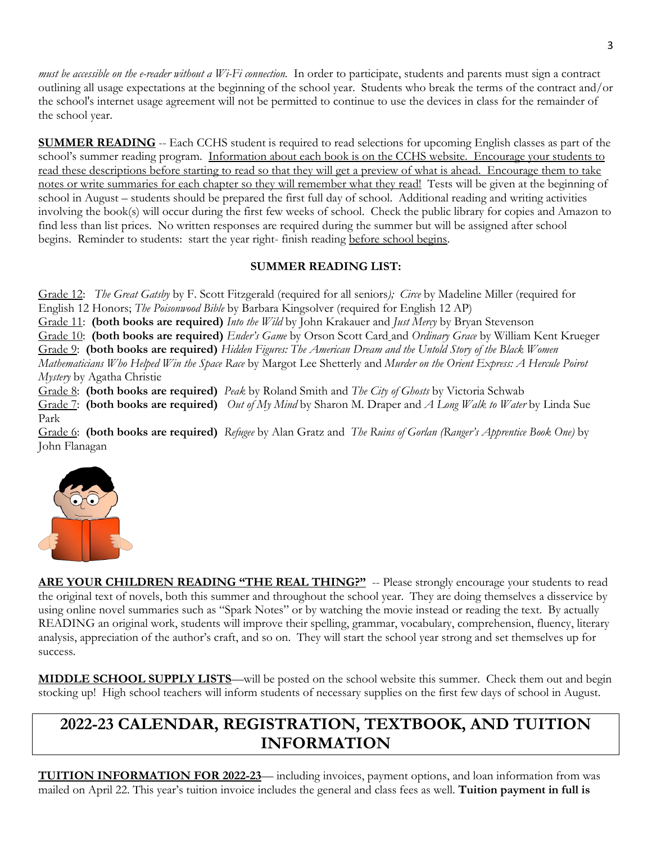*must be accessible on the e-reader without a Wi-Fi connection.* In order to participate, students and parents must sign a contract outlining all usage expectations at the beginning of the school year. Students who break the terms of the contract and/or the school's internet usage agreement will not be permitted to continue to use the devices in class for the remainder of the school year.

**SUMMER READING** -- Each CCHS student is required to read selections for upcoming English classes as part of the school's summer reading program. Information about each book is on the CCHS website. Encourage your students to read these descriptions before starting to read so that they will get a preview of what is ahead. Encourage them to take notes or write summaries for each chapter so they will remember what they read! Tests will be given at the beginning of school in August – students should be prepared the first full day of school. Additional reading and writing activities involving the book(s) will occur during the first few weeks of school. Check the public library for copies and Amazon to find less than list prices. No written responses are required during the summer but will be assigned after school begins. Reminder to students: start the year right- finish reading before school begins.

#### **SUMMER READING LIST:**

Grade 12: *The Great Gatsby* by F. Scott Fitzgerald (required for all seniors*); Circe* by Madeline Miller (required for English 12 Honors; *The Poisonwood Bible* by Barbara Kingsolver (required for English 12 AP) Grade 11: **(both books are required)** *Into the Wild* by John Krakauer and *Just Mercy* by Bryan Stevenson Grade 10: **(both books are required)** *Ender's Game* by Orson Scott Card and *Ordinary Grace* by William Kent Krueger Grade 9: **(both books are required)** *Hidden Figures: The American Dream and the Untold Story of the Black Women Mathematicians Who Helped Win the Space Race* by Margot Lee Shetterly and *Murder on the Orient Express: A Hercule Poirot Mystery* by Agatha Christie

Grade 8: **(both books are required)** *Peak* by Roland Smith and *The City of Ghosts* by Victoria Schwab Grade 7: **(both books are required)** *Out of My Mind* by Sharon M. Draper and *A Long Walk to Water* by Linda Sue Park

Grade 6: **(both books are required)** *Refugee* by Alan Gratz and *The Ruins of Gorlan (Ranger's Apprentice Book One)* by John Flanagan



**ARE YOUR CHILDREN READING "THE REAL THING?"** -- Please strongly encourage your students to read the original text of novels, both this summer and throughout the school year. They are doing themselves a disservice by using online novel summaries such as "Spark Notes" or by watching the movie instead or reading the text. By actually READING an original work, students will improve their spelling, grammar, vocabulary, comprehension, fluency, literary analysis, appreciation of the author's craft, and so on. They will start the school year strong and set themselves up for success.

**MIDDLE SCHOOL SUPPLY LISTS**—will be posted on the school website this summer. Check them out and begin stocking up! High school teachers will inform students of necessary supplies on the first few days of school in August.

## **2022-23 CALENDAR, REGISTRATION, TEXTBOOK, AND TUITION INFORMATION**

**TUITION INFORMATION FOR 2022-23**— including invoices, payment options, and loan information from was mailed on April 22. This year's tuition invoice includes the general and class fees as well. **Tuition payment in full is**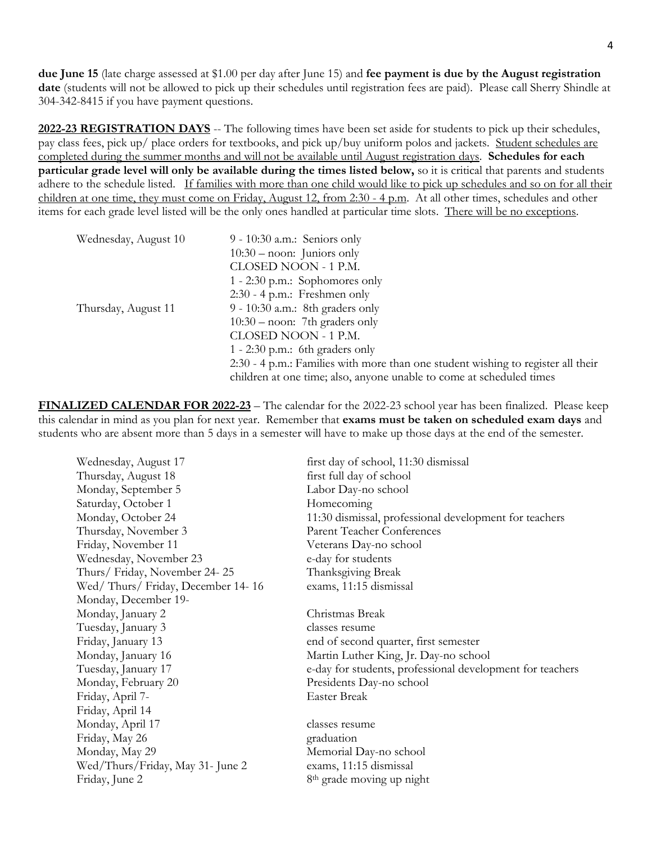**due June 15** (late charge assessed at \$1.00 per day after June 15) and **fee payment is due by the August registration date** (students will not be allowed to pick up their schedules until registration fees are paid). Please call Sherry Shindle at 304-342-8415 if you have payment questions.

**2022-23 REGISTRATION DAYS** -- The following times have been set aside for students to pick up their schedules, pay class fees, pick up/ place orders for textbooks, and pick up/buy uniform polos and jackets. Student schedules are completed during the summer months and will not be available until August registration days. **Schedules for each particular grade level will only be available during the times listed below,** so it is critical that parents and students adhere to the schedule listed. If families with more than one child would like to pick up schedules and so on for all their children at one time, they must come on Friday, August 12, from 2:30 - 4 p.m. At all other times, schedules and other items for each grade level listed will be the only ones handled at particular time slots. There will be no exceptions.

| Wednesday, August 10 | $9 - 10:30$ a.m.: Seniors only<br>$10:30 -$ noon: Juniors only<br>CLOSED NOON - 1 P.M.<br>1 - 2:30 p.m.: Sophomores only                                                                    |
|----------------------|---------------------------------------------------------------------------------------------------------------------------------------------------------------------------------------------|
| Thursday, August 11  | $2:30 - 4$ p.m.: Freshmen only<br>9 - 10:30 a.m.: 8th graders only<br>$10:30 -$ noon: 7th graders only<br>CLOSED NOON - 1 P.M.                                                              |
|                      | 1 - 2:30 p.m.: 6th graders only<br>2:30 - 4 p.m.: Families with more than one student wishing to register all their<br>children at one time; also, anyone unable to come at scheduled times |

**FINALIZED CALENDAR FOR 2022-23** – The calendar for the 2022-23 school year has been finalized. Please keep this calendar in mind as you plan for next year. Remember that **exams must be taken on scheduled exam days** and students who are absent more than 5 days in a semester will have to make up those days at the end of the semester.

| Wednesday, August 17             | first day of school, 11:30 dismissal                      |
|----------------------------------|-----------------------------------------------------------|
| Thursday, August 18              | first full day of school                                  |
| Monday, September 5              | Labor Day-no school                                       |
| Saturday, October 1              | Homecoming                                                |
| Monday, October 24               | 11:30 dismissal, professional development for teachers    |
| Thursday, November 3             | <b>Parent Teacher Conferences</b>                         |
| Friday, November 11              | Veterans Day-no school                                    |
| Wednesday, November 23           | e-day for students                                        |
| Thurs/Friday, November 24-25     | Thanksgiving Break                                        |
| Wed/Thurs/Friday, December 14-16 | exams, 11:15 dismissal                                    |
| Monday, December 19-             |                                                           |
| Monday, January 2                | Christmas Break                                           |
| Tuesday, January 3               | classes resume                                            |
| Friday, January 13               | end of second quarter, first semester                     |
| Monday, January 16               | Martin Luther King, Jr. Day-no school                     |
| Tuesday, January 17              | e-day for students, professional development for teachers |
| Monday, February 20              | Presidents Day-no school                                  |
| Friday, April 7-                 | <b>Easter Break</b>                                       |
| Friday, April 14                 |                                                           |
| Monday, April 17                 | classes resume                                            |
| Friday, May 26                   | graduation                                                |
| Monday, May 29                   | Memorial Day-no school                                    |
| Wed/Thurs/Friday, May 31- June 2 | exams, 11:15 dismissal                                    |
| Friday, June 2                   | 8 <sup>th</sup> grade moving up night                     |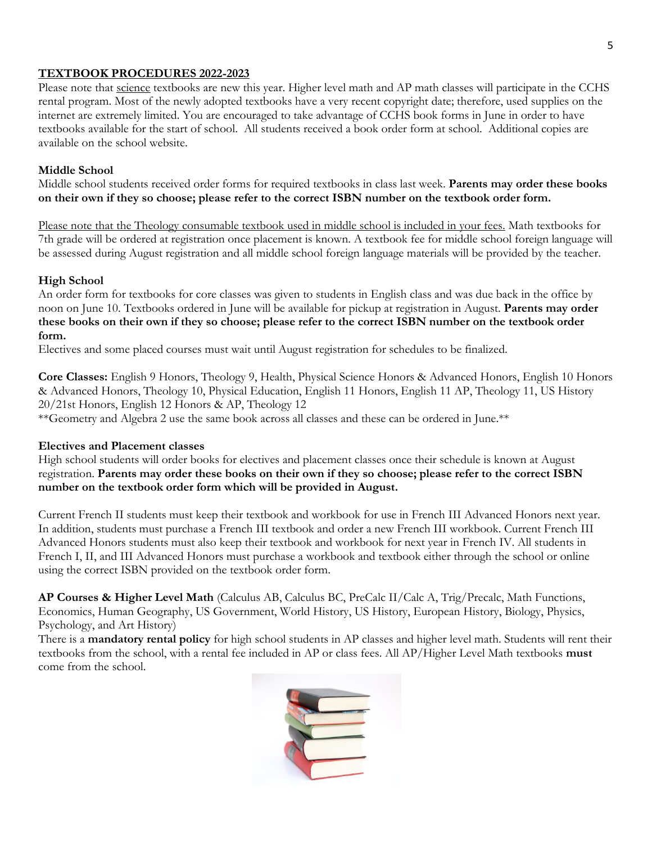#### **TEXTBOOK PROCEDURES 2022-2023**

Please note that science textbooks are new this year. Higher level math and AP math classes will participate in the CCHS rental program. Most of the newly adopted textbooks have a very recent copyright date; therefore, used supplies on the internet are extremely limited. You are encouraged to take advantage of CCHS book forms in June in order to have textbooks available for the start of school. All students received a book order form at school. Additional copies are available on the school website.

#### **Middle School**

Middle school students received order forms for required textbooks in class last week. **Parents may order these books on their own if they so choose; please refer to the correct ISBN number on the textbook order form.** 

Please note that the Theology consumable textbook used in middle school is included in your fees. Math textbooks for 7th grade will be ordered at registration once placement is known. A textbook fee for middle school foreign language will be assessed during August registration and all middle school foreign language materials will be provided by the teacher.

#### **High School**

An order form for textbooks for core classes was given to students in English class and was due back in the office by noon on June 10. Textbooks ordered in June will be available for pickup at registration in August. **Parents may order these books on their own if they so choose; please refer to the correct ISBN number on the textbook order form.**

Electives and some placed courses must wait until August registration for schedules to be finalized.

**Core Classes:** English 9 Honors, Theology 9, Health, Physical Science Honors & Advanced Honors, English 10 Honors & Advanced Honors, Theology 10, Physical Education, English 11 Honors, English 11 AP, Theology 11, US History 20/21st Honors, English 12 Honors & AP, Theology 12

\*\*Geometry and Algebra 2 use the same book across all classes and these can be ordered in June.\*\*

#### **Electives and Placement classes**

High school students will order books for electives and placement classes once their schedule is known at August registration. **Parents may order these books on their own if they so choose; please refer to the correct ISBN number on the textbook order form which will be provided in August.**

Current French II students must keep their textbook and workbook for use in French III Advanced Honors next year. In addition, students must purchase a French III textbook and order a new French III workbook. Current French III Advanced Honors students must also keep their textbook and workbook for next year in French IV. All students in French I, II, and III Advanced Honors must purchase a workbook and textbook either through the school or online using the correct ISBN provided on the textbook order form.

**AP Courses & Higher Level Math** (Calculus AB, Calculus BC, PreCalc II/Calc A, Trig/Precalc, Math Functions, Economics, Human Geography, US Government, World History, US History, European History, Biology, Physics, Psychology, and Art History)

There is a **mandatory rental policy** for high school students in AP classes and higher level math. Students will rent their textbooks from the school, with a rental fee included in AP or class fees. All AP/Higher Level Math textbooks **must** come from the school.

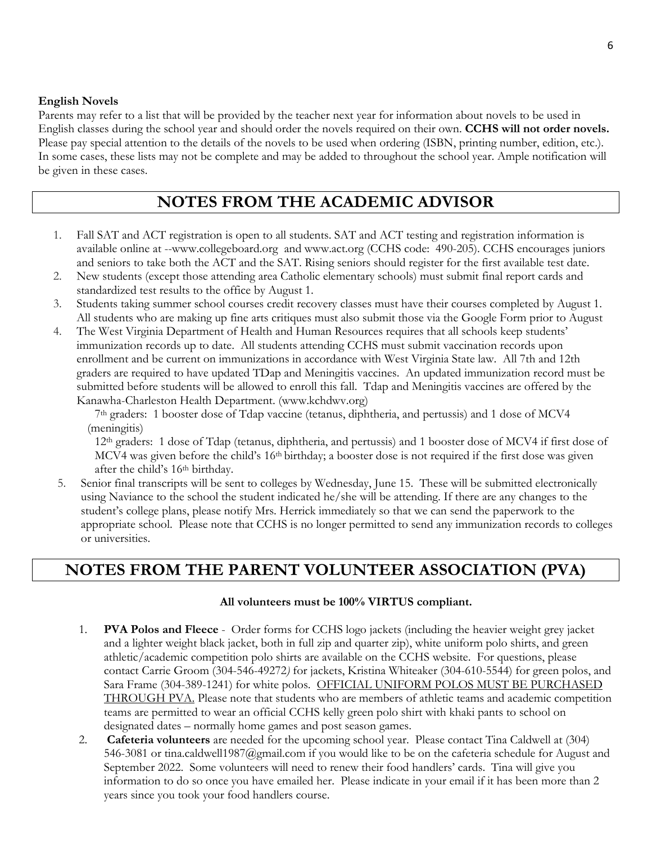#### **English Novels**

Parents may refer to a list that will be provided by the teacher next year for information about novels to be used in English classes during the school year and should order the novels required on their own. **CCHS will not order novels.** Please pay special attention to the details of the novels to be used when ordering (ISBN, printing number, edition, etc.). In some cases, these lists may not be complete and may be added to throughout the school year. Ample notification will be given in these cases.

### **NOTES FROM THE ACADEMIC ADVISOR**

- 1. Fall SAT and ACT registration is open to all students. SAT and ACT testing and registration information is available online at -[-www.collegeboard.org](http://www.collegeboard.org/) and [www.act.org](http://www.act.org/) (CCHS code: 490-205). CCHS encourages juniors and seniors to take both the ACT and the SAT. Rising seniors should register for the first available test date.
- 2. New students (except those attending area Catholic elementary schools) must submit final report cards and standardized test results to the office by August 1.
- 3. Students taking summer school courses credit recovery classes must have their courses completed by August 1. All students who are making up fine arts critiques must also submit those via the Google Form prior to August
- 4. The West Virginia Department of Health and Human Resources requires that all schools keep students' immunization records up to date. All students attending CCHS must submit vaccination records upon enrollment and be current on immunizations in accordance with West Virginia State law. All 7th and 12th graders are required to have updated TDap and Meningitis vaccines. An updated immunization record must be submitted before students will be allowed to enroll this fall. Tdap and Meningitis vaccines are offered by the Kanawha-Charleston Health Department. [\(www.kchdwv.org\)](http://www.kchdwv.org/)

7th graders: 1 booster dose of Tdap vaccine (tetanus, diphtheria, and pertussis) and 1 dose of MCV4 (meningitis)

12th graders: 1 dose of Tdap (tetanus, diphtheria, and pertussis) and 1 booster dose of MCV4 if first dose of MCV4 was given before the child's 16th birthday; a booster dose is not required if the first dose was given after the child's 16<sup>th</sup> birthday.

5. Senior final transcripts will be sent to colleges by Wednesday, June 15. These will be submitted electronically using Naviance to the school the student indicated he/she will be attending. If there are any changes to the student's college plans, please notify Mrs. Herrick immediately so that we can send the paperwork to the appropriate school. Please note that CCHS is no longer permitted to send any immunization records to colleges or universities.

## **NOTES FROM THE PARENT VOLUNTEER ASSOCIATION (PVA)**

#### **All volunteers must be 100% VIRTUS compliant.**

- 1. **PVA Polos and Fleece** Order forms for CCHS logo jackets (including the heavier weight grey jacket and a lighter weight black jacket, both in full zip and quarter zip), white uniform polo shirts, and green athletic/academic competition polo shirts are available on the CCHS website. For questions, please contact Carrie Groom (304-546-49272*)* for jackets, Kristina Whiteaker (304-610-5544) for green polos, and Sara Frame (304-389-1241) for white polos. OFFICIAL UNIFORM POLOS MUST BE PURCHASED THROUGH PVA. Please note that students who are members of athletic teams and academic competition teams are permitted to wear an official CCHS kelly green polo shirt with khaki pants to school on designated dates – normally home games and post season games.
- 2. **Cafeteria volunteers** are needed for the upcoming school year. Please contact Tina Caldwell at (304) 546-3081 or [tina.caldwell1987@gmail.com](mailto:tina.caldwell1987@gmail.com) if you would like to be on the cafeteria schedule for August and September 2022. Some volunteers will need to renew their food handlers' cards. Tina will give you information to do so once you have emailed her. Please indicate in your email if it has been more than 2 years since you took your food handlers course.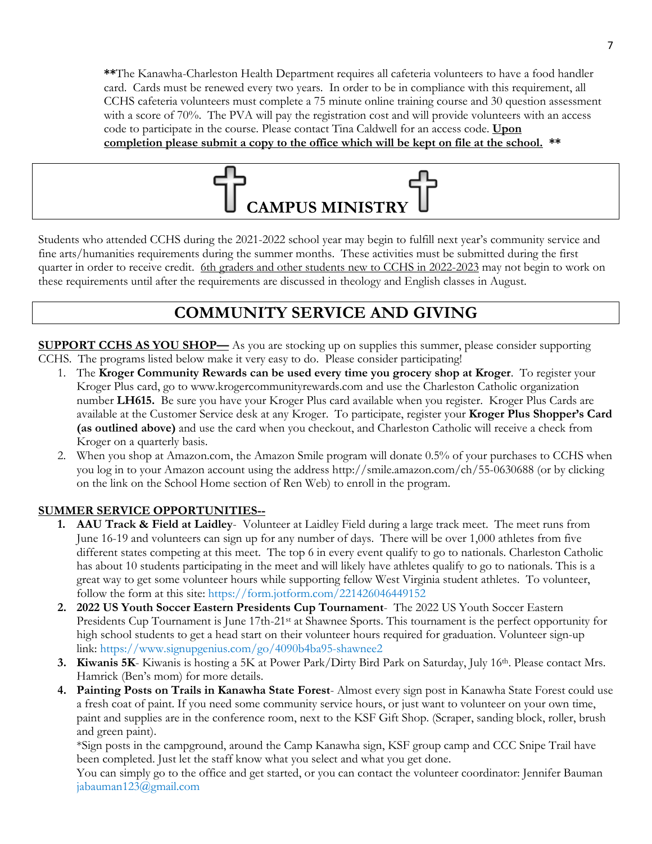**\*\***The Kanawha-Charleston Health Department requires all cafeteria volunteers to have a food handler card. Cards must be renewed every two years. In order to be in compliance with this requirement, all CCHS cafeteria volunteers must complete a 75 minute online training course and 30 question assessment with a score of 70%. The PVA will pay the registration cost and will provide volunteers with an access code to participate in the course. Please contact Tina Caldwell for an access code. **Upon completion please submit a copy to the office which will be kept on file at the school. \*\***



Students who attended CCHS during the 2021-2022 school year may begin to fulfill next year's community service and fine arts/humanities requirements during the summer months. These activities must be submitted during the first quarter in order to receive credit. 6th graders and other students new to CCHS in 2022-2023 may not begin to work on these requirements until after the requirements are discussed in theology and English classes in August.

## **COMMUNITY SERVICE AND GIVING**

**SUPPORT CCHS AS YOU SHOP—** As you are stocking up on supplies this summer, please consider supporting CCHS. The programs listed below make it very easy to do. Please consider participating!

- 1. The **Kroger Community Rewards can be used every time you grocery shop at Kroger**. To register your Kroger Plus card, go to [www.krogercommunityrewards.com](http://www.krogercommunityrewards.com/) and use the Charleston Catholic organization number **LH615.** Be sure you have your Kroger Plus card available when you register. Kroger Plus Cards are available at the Customer Service desk at any Kroger. To participate, register your **Kroger Plus Shopper's Card (as outlined above)** and use the card when you checkout, and Charleston Catholic will receive a check from Kroger on a quarterly basis.
- 2. When you shop at Amazon.com, the Amazon Smile program will donate 0.5% of your purchases to CCHS when you log in to your Amazon account using the address http://smile.amazon.com/ch/55-0630688 (or by clicking on the link on the School Home section of Ren Web) to enroll in the program.

#### **SUMMER SERVICE OPPORTUNITIES--**

- **1. AAU Track & Field at Laidley** Volunteer at Laidley Field during a large track meet. The meet runs from June 16-19 and volunteers can sign up for any number of days. There will be over 1,000 athletes from five different states competing at this meet. The top 6 in every event qualify to go to nationals. Charleston Catholic has about 10 students participating in the meet and will likely have athletes qualify to go to nationals. This is a great way to get some volunteer hours while supporting fellow West Virginia student athletes. To volunteer, follow the form at this site:<https://form.jotform.com/221426046449152>
- **2. 2022 US Youth Soccer Eastern Presidents Cup Tournament** The 2022 US Youth Soccer Eastern Presidents Cup Tournament is June 17th-21<sup>st</sup> at Shawnee Sports. This tournament is the perfect opportunity for high school students to get a head start on their volunteer hours required for graduation. Volunteer sign-up link: <https://www.signupgenius.com/go/4090b4ba95-shawnee2>
- **3. Kiwanis 5K** Kiwanis is hosting a 5K at Power Park/Dirty Bird Park on Saturday, July 16th. Please contact Mrs. Hamrick (Ben's mom) for more details.
- **4. Painting Posts on Trails in Kanawha State Forest** Almost every sign post in Kanawha State Forest could use a fresh coat of paint. If you need some community service hours, or just want to volunteer on your own time, paint and supplies are in the conference room, next to the KSF Gift Shop. (Scraper, sanding block, roller, brush and green paint).

\*Sign posts in the campground, around the Camp Kanawha sign, KSF group camp and CCC Snipe Trail have been completed. Just let the staff know what you select and what you get done.

You can simply go to the office and get started, or you can contact the volunteer coordinator: Jennifer Bauman [jabauman123@gmail.com](mailto:jabauman123@gmail.com)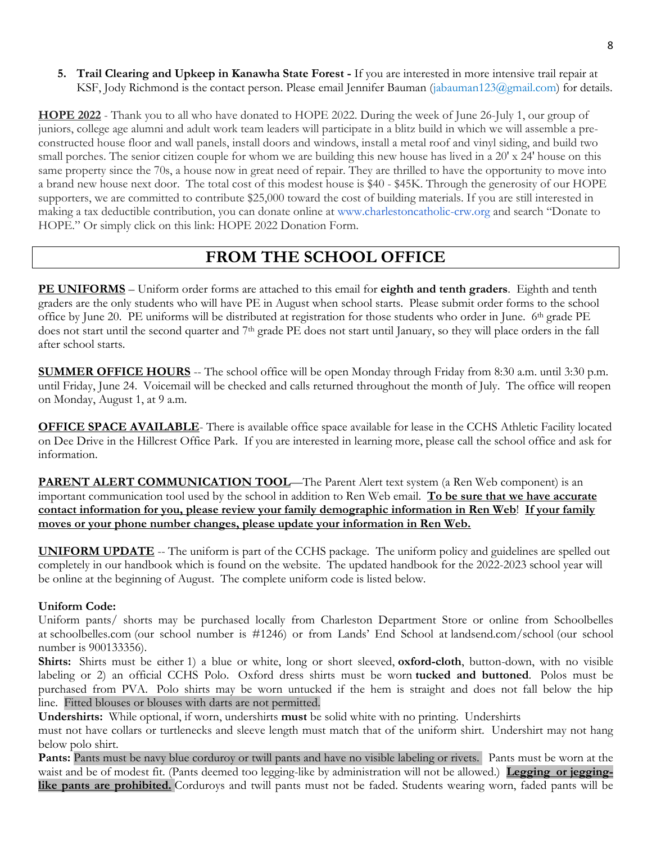**5. Trail Clearing and Upkeep in Kanawha State Forest -** If you are interested in more intensive trail repair at KSF, Jody Richmond is the contact person. Please email Jennifer Bauman [\(jabauman123@gmail.com\)](mailto:jabauman123@gmail.com) for details.

**HOPE 2022** - Thank you to all who have donated to HOPE 2022. During the week of June 26-July 1, our group of juniors, college age alumni and adult work team leaders will participate in a blitz build in which we will assemble a preconstructed house floor and wall panels, install doors and windows, install a metal roof and vinyl siding, and build two small porches. The senior citizen couple for whom we are building this new house has lived in a  $20' \times 24'$  house on this same property since the 70s, a house now in great need of repair. They are thrilled to have the opportunity to move into a brand new house next door. The total cost of this modest house is \$40 - \$45K. Through the generosity of our HOPE supporters, we are committed to contribute \$25,000 toward the cost of building materials. If you are still interested in making a tax deductible contribution, you can donate online at [www.charlestoncatholic-crw.org](http://www.charlestoncatholic-crw.org/) and search "Donate to HOPE." Or simply click on this link: HOPE 2022 Donation Form.

## **FROM THE SCHOOL OFFICE**

**PE UNIFORMS** – Uniform order forms are attached to this email for **eighth and tenth graders**. Eighth and tenth graders are the only students who will have PE in August when school starts. Please submit order forms to the school office by June 20. PE uniforms will be distributed at registration for those students who order in June. 6th grade PE does not start until the second quarter and 7th grade PE does not start until January, so they will place orders in the fall after school starts.

**SUMMER OFFICE HOURS** -- The school office will be open Monday through Friday from 8:30 a.m. until 3:30 p.m. until Friday, June 24. Voicemail will be checked and calls returned throughout the month of July. The office will reopen on Monday, August 1, at 9 a.m.

**OFFICE SPACE AVAILABLE**- There is available office space available for lease in the CCHS Athletic Facility located on Dee Drive in the Hillcrest Office Park. If you are interested in learning more, please call the school office and ask for information.

**PARENT ALERT COMMUNICATION TOOL**—The Parent Alert text system (a Ren Web component) is an important communication tool used by the school in addition to Ren Web email. **To be sure that we have accurate contact information for you, please review your family demographic information in Ren Web**! **If your family moves or your phone number changes, please update your information in Ren Web.**

**UNIFORM UPDATE** -- The uniform is part of the CCHS package. The uniform policy and guidelines are spelled out completely in our handbook which is found on the website. The updated handbook for the 2022-2023 school year will be online at the beginning of August. The complete uniform code is listed below.

#### **Uniform Code:**

Uniform pants/ shorts may be purchased locally from Charleston Department Store or online from Schoolbelles at [schoolbelles.com](http://schoolbelles.com/) (our school number is #1246) or from Lands' End School at [landsend.com/school](http://landsend.com/school) (our school number is 900133356).

**Shirts:** Shirts must be either 1) a blue or white, long or short sleeved, **oxford-cloth**, button-down, with no visible labeling or 2) an official CCHS Polo. Oxford dress shirts must be worn **tucked and buttoned**. Polos must be purchased from PVA. Polo shirts may be worn untucked if the hem is straight and does not fall below the hip line. Fitted blouses or blouses with darts are not permitted.

**Undershirts:** While optional, if worn, undershirts **must** be solid white with no printing. Undershirts

must not have collars or turtlenecks and sleeve length must match that of the uniform shirt. Undershirt may not hang below polo shirt.

**Pants:** Pants must be navy blue corduroy or twill pants and have no visible labeling or rivets. Pants must be worn at the waist and be of modest fit. (Pants deemed too legging-like by administration will not be allowed.) **Legging or jegginglike pants are prohibited.** Corduroys and twill pants must not be faded. Students wearing worn, faded pants will be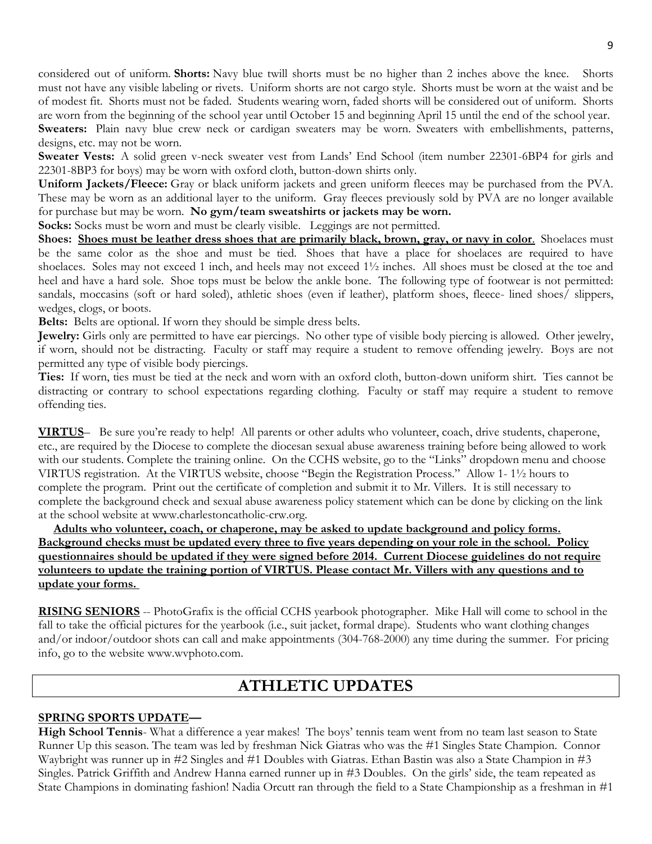considered out of uniform. **Shorts:** Navy blue twill shorts must be no higher than 2 inches above the knee. Shorts must not have any visible labeling or rivets. Uniform shorts are not cargo style. Shorts must be worn at the waist and be of modest fit. Shorts must not be faded. Students wearing worn, faded shorts will be considered out of uniform. Shorts are worn from the beginning of the school year until October 15 and beginning April 15 until the end of the school year. **Sweaters:** Plain navy blue crew neck or cardigan sweaters may be worn. Sweaters with embellishments, patterns, designs, etc. may not be worn.

**Sweater Vests:** A solid green v-neck sweater vest from Lands' End School (item number 22301-6BP4 for girls and 22301-8BP3 for boys) may be worn with oxford cloth, button-down shirts only.

**Uniform Jackets/Fleece:** Gray or black uniform jackets and green uniform fleeces may be purchased from the PVA. These may be worn as an additional layer to the uniform. Gray fleeces previously sold by PVA are no longer available for purchase but may be worn. **No gym/team sweatshirts or jackets may be worn.**

**Socks:** Socks must be worn and must be clearly visible. Leggings are not permitted.

**Shoes: Shoes must be leather dress shoes that are primarily black, brown, gray, or navy in color.** Shoelaces must be the same color as the shoe and must be tied. Shoes that have a place for shoelaces are required to have shoelaces. Soles may not exceed 1 inch, and heels may not exceed 1½ inches. All shoes must be closed at the toe and heel and have a hard sole. Shoe tops must be below the ankle bone. The following type of footwear is not permitted: sandals, moccasins (soft or hard soled), athletic shoes (even if leather), platform shoes, fleece- lined shoes/ slippers, wedges, clogs, or boots.

**Belts:** Belts are optional. If worn they should be simple dress belts.

**Jewelry:** Girls only are permitted to have ear piercings. No other type of visible body piercing is allowed. Other jewelry, if worn, should not be distracting. Faculty or staff may require a student to remove offending jewelry. Boys are not permitted any type of visible body piercings.

**Ties:** If worn, ties must be tied at the neck and worn with an oxford cloth, button-down uniform shirt. Ties cannot be distracting or contrary to school expectations regarding clothing. Faculty or staff may require a student to remove offending ties.

**VIRTUS**– Be sure you're ready to help! All parents or other adults who volunteer, coach, drive students, chaperone, etc., are required by the Diocese to complete the diocesan sexual abuse awareness training before being allowed to work with our students. Complete the training online. On the CCHS website, go to the "Links" dropdown menu and choose VIRTUS registration. At the VIRTUS website, choose "Begin the Registration Process." Allow 1- 1½ hours to complete the program. Print out the certificate of completion and submit it to Mr. Villers. It is still necessary to complete the background check and sexual abuse awareness policy statement which can be done by clicking on the link at the school website at [www.charlestoncatholic-crw.org.](http://www.charlestoncatholic-crw.org/)

 **Adults who volunteer, coach, or chaperone, may be asked to update background and policy forms. Background checks must be updated every three to five years depending on your role in the school. Policy questionnaires should be updated if they were signed before 2014. Current Diocese guidelines do not require volunteers to update the training portion of VIRTUS. Please contact Mr. Villers with any questions and to update your forms.**

**RISING SENIORS** -- PhotoGrafix is the official CCHS yearbook photographer. Mike Hall will come to school in the fall to take the official pictures for the yearbook (i.e., suit jacket, formal drape). Students who want clothing changes and/or indoor/outdoor shots can call and make appointments (304-768-2000) any time during the summer. For pricing info, go to the website [www.wvphoto.com.](http://www.wvphoto.com/)

## **ATHLETIC UPDATES**

#### **SPRING SPORTS UPDATE—**

**High School Tennis**- What a difference a year makes! The boys' tennis team went from no team last season to State Runner Up this season. The team was led by freshman Nick Giatras who was the #1 Singles State Champion. Connor Waybright was runner up in #2 Singles and #1 Doubles with Giatras. Ethan Bastin was also a State Champion in #3 Singles. Patrick Griffith and Andrew Hanna earned runner up in #3 Doubles. On the girls' side, the team repeated as State Champions in dominating fashion! Nadia Orcutt ran through the field to a State Championship as a freshman in #1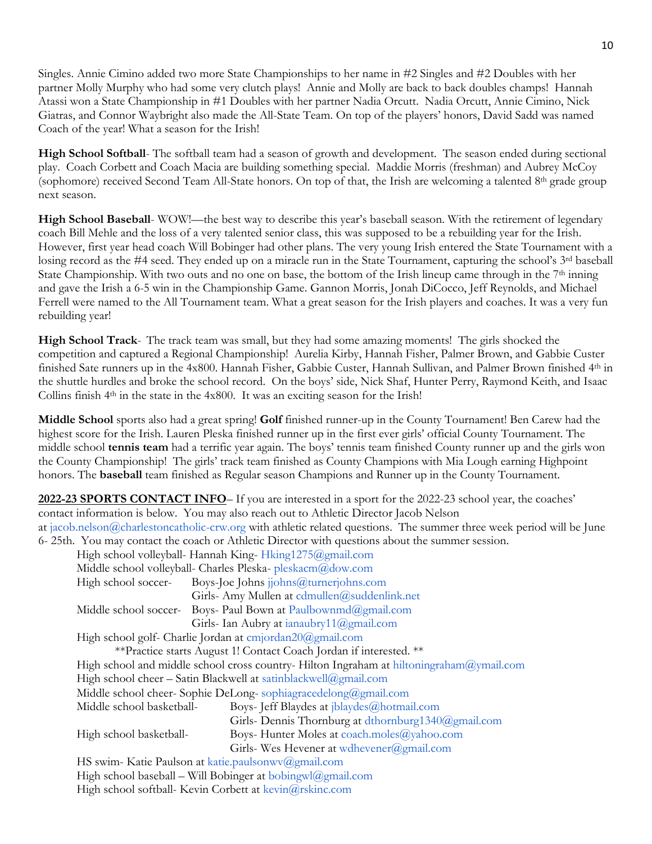Singles. Annie Cimino added two more State Championships to her name in #2 Singles and #2 Doubles with her partner Molly Murphy who had some very clutch plays! Annie and Molly are back to back doubles champs! Hannah Atassi won a State Championship in #1 Doubles with her partner Nadia Orcutt. Nadia Orcutt, Annie Cimino, Nick Giatras, and Connor Waybright also made the All-State Team. On top of the players' honors, David Sadd was named Coach of the year! What a season for the Irish!

**High School Softball**- The softball team had a season of growth and development. The season ended during sectional play. Coach Corbett and Coach Macia are building something special. Maddie Morris (freshman) and Aubrey McCoy (sophomore) received Second Team All-State honors. On top of that, the Irish are welcoming a talented 8<sup>th</sup> grade group next season.

**High School Baseball-** WOW!—the best way to describe this year's baseball season. With the retirement of legendary coach Bill Mehle and the loss of a very talented senior class, this was supposed to be a rebuilding year for the Irish. However, first year head coach Will Bobinger had other plans. The very young Irish entered the State Tournament with a losing record as the #4 seed. They ended up on a miracle run in the State Tournament, capturing the school's 3<sup>rd</sup> baseball State Championship. With two outs and no one on base, the bottom of the Irish lineup came through in the 7<sup>th</sup> inning and gave the Irish a 6-5 win in the Championship Game. Gannon Morris, Jonah DiCocco, Jeff Reynolds, and Michael Ferrell were named to the All Tournament team. What a great season for the Irish players and coaches. It was a very fun rebuilding year!

**High School Track**- The track team was small, but they had some amazing moments! The girls shocked the competition and captured a Regional Championship! Aurelia Kirby, Hannah Fisher, Palmer Brown, and Gabbie Custer finished Sate runners up in the 4x800. Hannah Fisher, Gabbie Custer, Hannah Sullivan, and Palmer Brown finished 4th in the shuttle hurdles and broke the school record. On the boys' side, Nick Shaf, Hunter Perry, Raymond Keith, and Isaac Collins finish 4th in the state in the 4x800. It was an exciting season for the Irish!

**Middle School** sports also had a great spring! **Golf** finished runner-up in the County Tournament! Ben Carew had the highest score for the Irish. Lauren Pleska finished runner up in the first ever girls' official County Tournament. The middle school **tennis team** had a terrific year again. The boys' tennis team finished County runner up and the girls won the County Championship! The girls' track team finished as County Champions with Mia Lough earning Highpoint honors. The **baseball** team finished as Regular season Champions and Runner up in the County Tournament.

**2022-23 SPORTS CONTACT INFO**– If you are interested in a sport for the 2022-23 school year, the coaches' contact information is below. You may also reach out to Athletic Director Jacob Nelson at [jacob.nelson@charlestoncatholic-crw.org](mailto:jacob.nelson@charlestoncatholic-crw.org) with athletic related questions. The summer three week period will be June 6- 25th. You may contact the coach or Athletic Director with questions about the summer session.

|                                                                                                  | High school volleyball- Hannah King-Hking1275@gmail.com       |  |
|--------------------------------------------------------------------------------------------------|---------------------------------------------------------------|--|
| Middle school volleyball- Charles Pleska-pleskacm@dow.com                                        |                                                               |  |
| High school soccer-                                                                              | Boys-Joe Johns jjohns@turnerjohns.com                         |  |
|                                                                                                  | Girls- Amy Mullen at cdmullen@suddenlink.net                  |  |
|                                                                                                  | Middle school soccer- Boys- Paul Bown at Paulbownmd@gmail.com |  |
|                                                                                                  | Girls- Ian Aubry at ianaubry $11$ ( $\partial$ gmail.com      |  |
| High school golf- Charlie Jordan at cmjordan20@gmail.com                                         |                                                               |  |
| **Practice starts August 1! Contact Coach Jordan if interested. **                               |                                                               |  |
| High school and middle school cross country-Hilton Ingraham at hiltoningraham $\omega$ ymail.com |                                                               |  |
| High school cheer – Satin Blackwell at satinblackwell@gmail.com                                  |                                                               |  |
| Middle school cheer- Sophie DeLong-sophiagracedelong@gmail.com                                   |                                                               |  |
| Middle school basketball-                                                                        | Boys- Jeff Blaydes at jblaydes@hotmail.com                    |  |
|                                                                                                  | Girls- Dennis Thornburg at dthornburg1340@gmail.com           |  |
| High school basketball-                                                                          | Boys- Hunter Moles at coach.moles@yahoo.com                   |  |
|                                                                                                  | Girls-Wes Hevener at wdhevener@gmail.com                      |  |
| HS swim- Katie Paulson at katie.paulsonwv@gmail.com                                              |                                                               |  |
| High school baseball – Will Bobinger at bobingwl@gmail.com                                       |                                                               |  |
| High school softball- Kevin Corbett at $k$ evin $@rskinc.com$                                    |                                                               |  |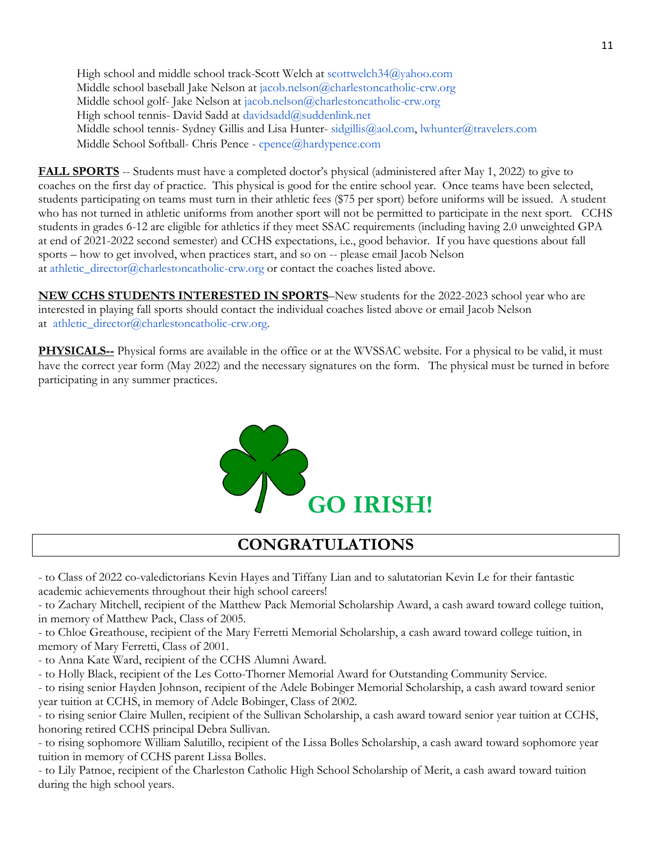High school and middle school track-Scott Welch at [scottwelch34@yahoo.com](mailto:scottwelch34@yahoo.com) Middle school baseball Jake Nelson at [jacob.nelson@charlestoncatholic-crw.org](mailto:jacob.nelson@charlestoncatholic-crw.org) Middle school golf- Jake Nelson at [jacob.nelson@charlestoncatholic-crw.org](mailto:jacob.nelson@charlestoncatholic-crw.org) High school tennis- David Sadd at [davidsadd@suddenlink.net](mailto:davidsadd@suddenlink.net) Middle school tennis- Sydney Gillis and Lisa Hunter- [sidgillis@aol.com,](mailto:sidgillis@aol.com) [lwhunter@travelers.com](mailto:lwhunter@travelers.com) Middle School Softball- Chris Pence - [cpence@hardypence.com](mailto:cpence@hardypence.com)

FALL SPORTS -- Students must have a completed doctor's physical (administered after May 1, 2022) to give to coaches on the first day of practice. This physical is good for the entire school year. Once teams have been selected, students participating on teams must turn in their athletic fees (\$75 per sport) before uniforms will be issued. A student who has not turned in athletic uniforms from another sport will not be permitted to participate in the next sport. CCHS students in grades 6-12 are eligible for athletics if they meet SSAC requirements (including having 2.0 unweighted GPA at end of 2021-2022 second semester) and CCHS expectations, i.e., good behavior. If you have questions about fall sports – how to get involved, when practices start, and so on -- please email Jacob Nelson at [athletic\\_director@charlestoncatholic-crw.org](mailto:athletic_director@charlestoncatholic-crw.org) or contact the coaches listed above.

**NEW CCHS STUDENTS INTERESTED IN SPORTS**–New students for the 2022-2023 school year who are interested in playing fall sports should contact the individual coaches listed above or email Jacob Nelson at athletic director@charlestoncatholic-crw.org.

**PHYSICALS--** Physical forms are available in the office or at the WVSSAC website. For a physical to be valid, it must have the correct year form (May 2022) and the necessary signatures on the form. The physical must be turned in before participating in any summer practices.



## **CONGRATULATIONS**

- to Class of 2022 co-valedictorians Kevin Hayes and Tiffany Lian and to salutatorian Kevin Le for their fantastic academic achievements throughout their high school careers!

- to Zachary Mitchell, recipient of the Matthew Pack Memorial Scholarship Award, a cash award toward college tuition, in memory of Matthew Pack, Class of 2005.

- to Chloe Greathouse, recipient of the Mary Ferretti Memorial Scholarship, a cash award toward college tuition, in memory of Mary Ferretti, Class of 2001.

- to Anna Kate Ward, recipient of the CCHS Alumni Award.

- to Holly Black, recipient of the Les Cotto-Thorner Memorial Award for Outstanding Community Service.

- to rising senior Hayden Johnson, recipient of the Adele Bobinger Memorial Scholarship, a cash award toward senior year tuition at CCHS, in memory of Adele Bobinger, Class of 2002.

- to rising senior Claire Mullen, recipient of the Sullivan Scholarship, a cash award toward senior year tuition at CCHS, honoring retired CCHS principal Debra Sullivan.

- to rising sophomore William Salutillo, recipient of the Lissa Bolles Scholarship, a cash award toward sophomore year tuition in memory of CCHS parent Lissa Bolles.

- to Lily Patnoe, recipient of the Charleston Catholic High School Scholarship of Merit, a cash award toward tuition during the high school years.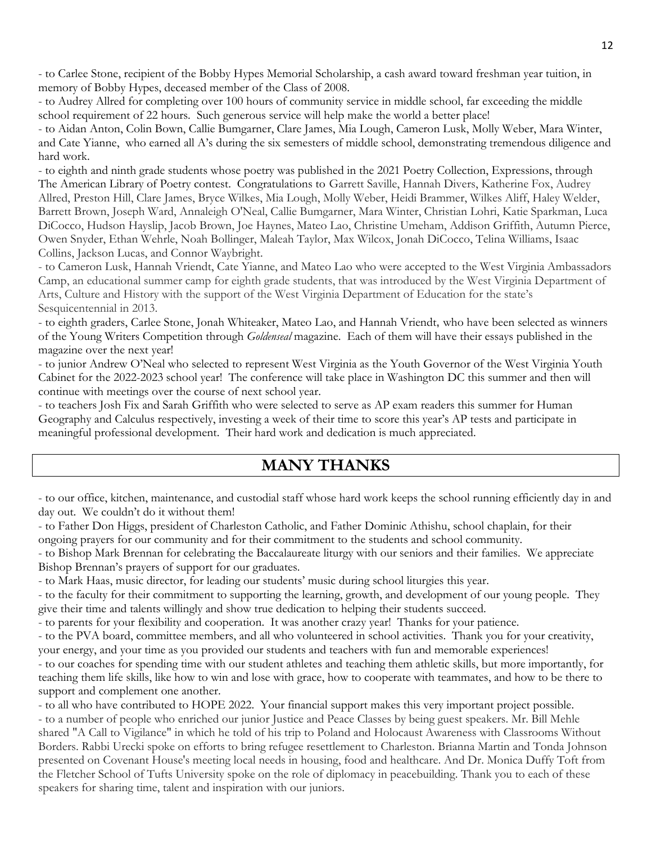- to Carlee Stone, recipient of the Bobby Hypes Memorial Scholarship, a cash award toward freshman year tuition, in memory of Bobby Hypes, deceased member of the Class of 2008.

- to Audrey Allred for completing over 100 hours of community service in middle school, far exceeding the middle school requirement of 22 hours. Such generous service will help make the world a better place!

- to Aidan Anton, Colin Bown, Callie Bumgarner, Clare James, Mia Lough, Cameron Lusk, Molly Weber, Mara Winter, and Cate Yianne, who earned all A's during the six semesters of middle school, demonstrating tremendous diligence and hard work.

- to eighth and ninth grade students whose poetry was published in the 2021 Poetry Collection, Expressions, through The American Library of Poetry contest. Congratulations to Garrett Saville, Hannah Divers, Katherine Fox, Audrey Allred, Preston Hill, Clare James, Bryce Wilkes, Mia Lough, Molly Weber, Heidi Brammer, Wilkes Aliff, Haley Welder, Barrett Brown, Joseph Ward, Annaleigh O'Neal, Callie Bumgarner, Mara Winter, Christian Lohri, Katie Sparkman, Luca DiCocco, Hudson Hayslip, Jacob Brown, Joe Haynes, Mateo Lao, Christine Umeham, Addison Griffith, Autumn Pierce, Owen Snyder, Ethan Wehrle, Noah Bollinger, Maleah Taylor, Max Wilcox, Jonah DiCocco, Telina Williams, Isaac Collins, Jackson Lucas, and Connor Waybright.

- to Cameron Lusk, Hannah Vriendt, Cate Yianne, and Mateo Lao who were accepted to the West Virginia Ambassadors Camp, an educational summer camp for eighth grade students, that was introduced by the West Virginia Department of Arts, Culture and History with the support of the West Virginia Department of Education for the state's Sesquicentennial in 2013.

- to eighth graders, Carlee Stone, Jonah Whiteaker, Mateo Lao, and Hannah Vriendt, who have been selected as winners of the Young Writers Competition through *Goldenseal* magazine. Each of them will have their essays published in the magazine over the next year!

- to junior Andrew O'Neal who selected to represent West Virginia as the Youth Governor of the West Virginia Youth Cabinet for the 2022-2023 school year! The conference will take place in Washington DC this summer and then will continue with meetings over the course of next school year.

- to teachers Josh Fix and Sarah Griffith who were selected to serve as AP exam readers this summer for Human Geography and Calculus respectively, investing a week of their time to score this year's AP tests and participate in meaningful professional development. Their hard work and dedication is much appreciated.

## **MANY THANKS**

- to our office, kitchen, maintenance, and custodial staff whose hard work keeps the school running efficiently day in and day out. We couldn't do it without them!

- to Father Don Higgs, president of Charleston Catholic, and Father Dominic Athishu, school chaplain, for their ongoing prayers for our community and for their commitment to the students and school community.

- to Bishop Mark Brennan for celebrating the Baccalaureate liturgy with our seniors and their families. We appreciate Bishop Brennan's prayers of support for our graduates.

- to Mark Haas, music director, for leading our students' music during school liturgies this year.

- to the faculty for their commitment to supporting the learning, growth, and development of our young people. They give their time and talents willingly and show true dedication to helping their students succeed.

- to parents for your flexibility and cooperation. It was another crazy year! Thanks for your patience.

- to the PVA board, committee members, and all who volunteered in school activities. Thank you for your creativity,

your energy, and your time as you provided our students and teachers with fun and memorable experiences!

- to our coaches for spending time with our student athletes and teaching them athletic skills, but more importantly, for teaching them life skills, like how to win and lose with grace, how to cooperate with teammates, and how to be there to support and complement one another.

- to all who have contributed to HOPE 2022. Your financial support makes this very important project possible. - to a number of people who enriched our junior Justice and Peace Classes by being guest speakers. Mr. Bill Mehle shared "A Call to Vigilance" in which he told of his trip to Poland and Holocaust Awareness with Classrooms Without Borders. Rabbi Urecki spoke on efforts to bring refugee resettlement to Charleston. Brianna Martin and Tonda Johnson presented on Covenant House's meeting local needs in housing, food and healthcare. And Dr. Monica Duffy Toft from the Fletcher School of Tufts University spoke on the role of diplomacy in peacebuilding. Thank you to each of these speakers for sharing time, talent and inspiration with our juniors.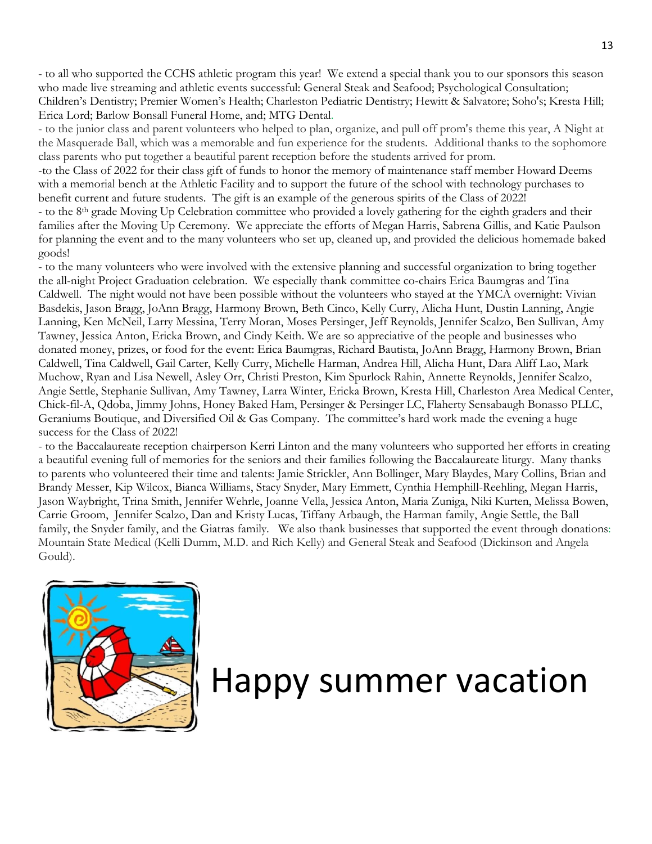- to all who supported the CCHS athletic program this year! We extend a special thank you to our sponsors this season who made live streaming and athletic events successful: General Steak and Seafood; Psychological Consultation; Children's Dentistry; Premier Women's Health; Charleston Pediatric Dentistry; Hewitt & Salvatore; Soho's; Kresta Hill; Erica Lord; Barlow Bonsall Funeral Home, and; MTG Dental.

- to the junior class and parent volunteers who helped to plan, organize, and pull off prom's theme this year, A Night at the Masquerade Ball, which was a memorable and fun experience for the students. Additional thanks to the sophomore class parents who put together a beautiful parent reception before the students arrived for prom.

-to the Class of 2022 for their class gift of funds to honor the memory of maintenance staff member Howard Deems with a memorial bench at the Athletic Facility and to support the future of the school with technology purchases to benefit current and future students. The gift is an example of the generous spirits of the Class of 2022!

- to the 8th grade Moving Up Celebration committee who provided a lovely gathering for the eighth graders and their families after the Moving Up Ceremony. We appreciate the efforts of Megan Harris, Sabrena Gillis, and Katie Paulson for planning the event and to the many volunteers who set up, cleaned up, and provided the delicious homemade baked goods!

- to the many volunteers who were involved with the extensive planning and successful organization to bring together the all-night Project Graduation celebration. We especially thank committee co-chairs Erica Baumgras and Tina Caldwell. The night would not have been possible without the volunteers who stayed at the YMCA overnight: Vivian Basdekis, Jason Bragg, JoAnn Bragg, Harmony Brown, Beth Cinco, Kelly Curry, Alicha Hunt, Dustin Lanning, Angie Lanning, Ken McNeil, Larry Messina, Terry Moran, Moses Persinger, Jeff Reynolds, Jennifer Scalzo, Ben Sullivan, Amy Tawney, Jessica Anton, Ericka Brown, and Cindy Keith. We are so appreciative of the people and businesses who donated money, prizes, or food for the event: Erica Baumgras, Richard Bautista, JoAnn Bragg, Harmony Brown, Brian Caldwell, Tina Caldwell, Gail Carter, Kelly Curry, Michelle Harman, Andrea Hill, Alicha Hunt, Dara Aliff Lao, Mark Muchow, Ryan and Lisa Newell, Asley Orr, Christi Preston, Kim Spurlock Rahin, Annette Reynolds, Jennifer Scalzo, Angie Settle, Stephanie Sullivan, Amy Tawney, Larra Winter, Ericka Brown, Kresta Hill, Charleston Area Medical Center, Chick-fil-A, Qdoba, Jimmy Johns, Honey Baked Ham, Persinger & Persinger LC, Flaherty Sensabaugh Bonasso PLLC, Geraniums Boutique, and Diversified Oil & Gas Company. The committee's hard work made the evening a huge success for the Class of 2022!

- to the Baccalaureate reception chairperson Kerri Linton and the many volunteers who supported her efforts in creating a beautiful evening full of memories for the seniors and their families following the Baccalaureate liturgy. Many thanks to parents who volunteered their time and talents: Jamie Strickler, Ann Bollinger, Mary Blaydes, Mary Collins, Brian and Brandy Messer, Kip Wilcox, Bianca Williams, Stacy Snyder, Mary Emmett, Cynthia Hemphill-Reehling, Megan Harris, Jason Waybright, Trina Smith, Jennifer Wehrle, Joanne Vella, Jessica Anton, Maria Zuniga, Niki Kurten, Melissa Bowen, Carrie Groom, Jennifer Scalzo, Dan and Kristy Lucas, Tiffany Arbaugh, the Harman family, Angie Settle, the Ball family, the Snyder family, and the Giatras family. We also thank businesses that supported the event through donations: Mountain State Medical (Kelli Dumm, M.D. and Rich Kelly) and General Steak and Seafood (Dickinson and Angela Gould).



# Happy summer vacation